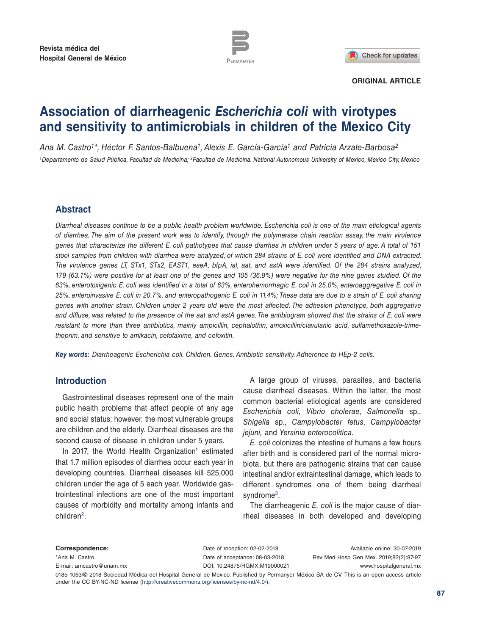



#### **ORIGINAL ARTICLE**

# **Association of diarrheagenic** *Escherichia coli* **with virotypes and sensitivity to antimicrobials in children of the Mexico City**

*Ana M. Castro1\*, Héctor F. Santos-Balbuena1, Alexis E. García-García1 and Patricia Arzate-Barbosa2 1Departamento de Salud Pública, Facultad de Medicina; 2Facultad de Medicina. National Autonomous University of Mexico, Mexico City, Mexico*

## **Abstract**

*Diarrheal diseases continue to be a public health problem worldwide. Escherichia coli is one of the main etiological agents of diarrhea. The aim of the present work was to identify, through the polymerase chain reaction assay, the main virulence genes that characterize the different E. coli pathotypes that cause diarrhea in children under 5 years of age. A total of 151 stool samples from children with diarrhea were analyzed, of which 284 strains of E. coli were identified and DNA extracted. The virulence genes LT, STx1, STx2, EAST1, eaeA, bfpA, ial, aat, and astA were identified. Of the 284 strains analyzed, 179 (63.1%) were positive for at least one of the genes and 105 (36.9%) were negative for the nine genes studied. Of the 63%, enterotoxigenic E. coli was identified in a total of 63%, enterohemorrhagic E. coli in 25.0%, enteroaggregative E. coli in 25%, enteroinvasive E. coli in 20.7%, and enteropathogenic E. coli in 11.4%; These data are due to a strain of E. coli sharing genes with another strain. Children under 2 years old were the most affected. The adhesion phenotype, both aggregative and diffuse, was related to the presence of the aat and astA genes. The antibiogram showed that the strains of E. coli were resistant to more than three antibiotics, mainly ampicillin, cephalothin, amoxicillin/clavulanic acid, sulfamethoxazole-trimethoprim, and sensitive to amikacin, cefotaxime, and cefoxitin.*

*Key words: Diarrheagenic Escherichia coli. Children. Genes. Antibiotic sensitivity. Adherence to HEp-2 cells.*

## **Introduction**

Gastrointestinal diseases represent one of the main public health problems that affect people of any age and social status; however, the most vulnerable groups are children and the elderly. Diarrheal diseases are the second cause of disease in children under 5 years.

In 2017, the World Health Organization<sup>1</sup> estimated that 1.7 million episodes of diarrhea occur each year in developing countries. Diarrheal diseases kill 525,000 children under the age of 5 each year. Worldwide gastrointestinal infections are one of the most important causes of morbidity and mortality among infants and children[2](#page-9-1).

A large group of viruses, parasites, and bacteria cause diarrheal diseases. Within the latter, the most common bacterial etiological agents are considered *Escherichia coli*, *Vibrio cholerae*, *Salmonella* sp., *Shigella* sp., *Campylobacter fetus*, *Campylobacter jejuni,* and *Yersinia enterocolitica*.

*E. coli* colonizes the intestine of humans a few hours after birth and is considered part of the normal microbiota, but there are pathogenic strains that can cause intestinal and/or extraintestinal damage, which leads to different syndromes one of them being diarrheal syndrome<sup>[3](#page-9-2)</sup>.

The diarrheagenic *E. coli* is the major cause of diarrheal diseases in both developed and developing

**Correspondence:** \*Ana M. Castro E-mail: [amcastro@unam.mx](mailto:amcastro%40unam.mx?subject=) Available online: 30-07-2019 Rev Med Hosp Gen Mex. 2019;82(2):87-97 www.hospitalgeneral.mx Date of reception: 02-02-2018 Date of acceptance: 08-03-2018 DOI: [10.24875/HGMX.M19000021](http://dx.doi.org/10.24875/HGMX.M19000021)

0185-1063/© 2018 Sociedad Médica del Hospital General de Mexico. Published by Permanyer México SA de CV. This is an open access article under the CC BY-NC-ND license (http://creativecommons.org/licenses/by-nc-nd/4.0/).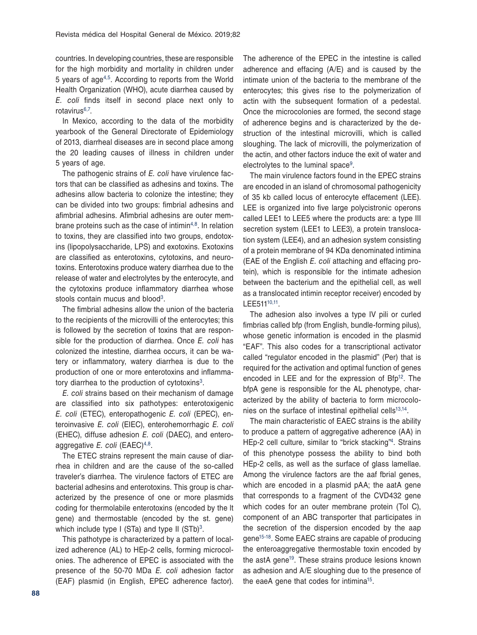countries. In developing countries, these are responsible for the high morbidity and mortality in children under 5 years of ag[e4,](#page-9-3)[5.](#page-9-4) According to reports from the World Health Organization (WHO), acute diarrhea caused by *E. coli* finds itself in second place next only to rotavirus[6](#page-9-5),7.

In Mexico, according to the data of the morbidity yearbook of the General Directorate of Epidemiology of 2013, diarrheal diseases are in second place among the 20 leading causes of illness in children under 5 years of age.

The pathogenic strains of *E. coli* have virulence factors that can be classified as adhesins and toxins. The adhesins allow bacteria to colonize the intestine; they can be divided into two groups: fimbrial adhesins and afimbrial adhesins. Afimbrial adhesins are outer mem-brane proteins such as the case of intimin<sup>[4](#page-9-3),8</sup>. In relation to toxins, they are classified into two groups, endotoxins (lipopolysaccharide, LPS) and exotoxins. Exotoxins are classified as enterotoxins, cytotoxins, and neurotoxins. Enterotoxins produce watery diarrhea due to the release of water and electrolytes by the enterocyte, and the cytotoxins produce inflammatory diarrhea whose stools contain mucus and blood<sup>[3](#page-9-2)</sup>.

The fimbrial adhesins allow the union of the bacteria to the recipients of the microvilli of the enterocytes; this is followed by the secretion of toxins that are responsible for the production of diarrhea. Once *E. coli* has colonized the intestine, diarrhea occurs, it can be watery or inflammatory, watery diarrhea is due to the production of one or more enterotoxins and inflammatory diarrhea to the production of cytotoxins<sup>3</sup>.

*E. coli* strains based on their mechanism of damage are classified into six pathotypes: enterotoxigenic *E. coli* (ETEC), enteropathogenic *E. coli* (EPEC), enteroinvasive *E. coli* (EIEC), enterohemorrhagic *E. coli* (EHEC), diffuse adhesion *E. coli* (DAEC), and enteroaggregative *E. coli* (EAEC)<sup>[4,](#page-9-3)[8](#page-9-6)</sup>.

The ETEC strains represent the main cause of diarrhea in children and are the cause of the so-called traveler's diarrhea. The virulence factors of ETEC are bacterial adhesins and enterotoxins. This group is characterized by the presence of one or more plasmids coding for thermolabile enterotoxins (encoded by the lt gene) and thermostable (encoded by the st. gene) which include type I (STa) and type II (STb)<sup>3</sup>.

This pathotype is characterized by a pattern of localized adherence (AL) to HEp-2 cells, forming microcolonies. The adherence of EPEC is associated with the presence of the 50-70 MDa *E. coli* adhesion factor (EAF) plasmid (in English, EPEC adherence factor). The adherence of the EPEC in the intestine is called adherence and effacing (A/E) and is caused by the intimate union of the bacteria to the membrane of the enterocytes; this gives rise to the polymerization of actin with the subsequent formation of a pedestal. Once the microcolonies are formed, the second stage of adherence begins and is characterized by the destruction of the intestinal microvilli, which is called sloughing. The lack of microvilli, the polymerization of the actin, and other factors induce the exit of water and electrolytes to the luminal space<sup>[9](#page-9-7)</sup>.

The main virulence factors found in the EPEC strains are encoded in an island of chromosomal pathogenicity of 35 kb called locus of enterocyte effacement (LEE). LEE is organized into five large polycistronic operons called LEE1 to LEE5 where the products are: a type III secretion system (LEE1 to LEE3), a protein translocation system (LEE4), and an adhesion system consisting of a protein membrane of 94 KDa denominated intimina (EAE of the English *E. coli* attaching and effacing protein), which is responsible for the intimate adhesion between the bacterium and the epithelial cell, as well as a translocated intimin receptor receiver) encoded by LEE51[110,11](#page-9-8).

The adhesion also involves a type IV pili or curled fimbrias called bfp (from English, bundle-forming pilus), whose genetic information is encoded in the plasmid "EAF". This also codes for a transcriptional activator called "regulator encoded in the plasmid" (Per) that is required for the activation and optimal function of genes encoded in LEE and for the expression of Bfp<sup>12</sup>. The bfpA gene is responsible for the AL phenotype, characterized by the ability of bacteria to form microcolo-nies on the surface of intestinal epithelial cells<sup>13[,14](#page-9-11)</sup>.

The main characteristic of EAEC strains is the ability to produce a pattern of aggregative adherence (AA) in HEp-2 cell culture, similar to "brick stacking["4](#page-9-3). Strains of this phenotype possess the ability to bind both HEp-2 cells, as well as the surface of glass lamellae. Among the virulence factors are the aaf fbrial genes, which are encoded in a plasmid pAA; the aatA gene that corresponds to a fragment of the CVD432 gene which codes for an outer membrane protein (Tol C), component of an ABC transporter that participates in the secretion of the dispersion encoded by the aap gen[e15](#page-9-12)[-18](#page-9-13). Some EAEC strains are capable of producing the enteroaggregative thermostable toxin encoded by the astA gen[e19](#page-9-14). These strains produce lesions known as adhesion and A/E sloughing due to the presence of the eaeA gene that codes for intimina<sup>15</sup>.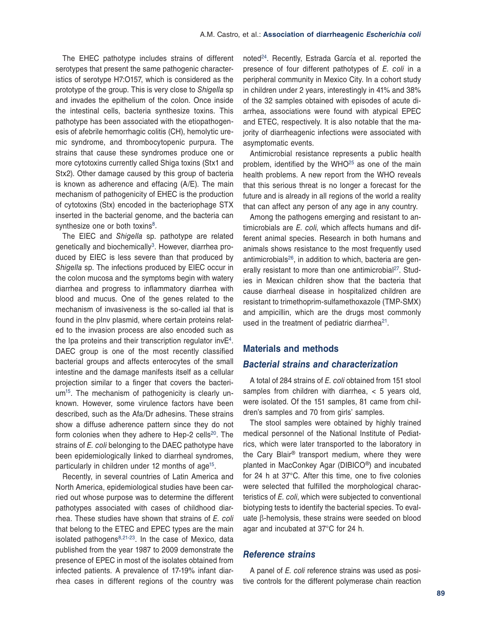The EHEC pathotype includes strains of different serotypes that present the same pathogenic characteristics of serotype H7:O157, which is considered as the prototype of the group. This is very close to *Shigella* sp and invades the epithelium of the colon. Once inside the intestinal cells, bacteria synthesize toxins. This pathotype has been associated with the etiopathogenesis of afebrile hemorrhagic colitis (CH), hemolytic uremic syndrome, and thrombocytopenic purpura. The strains that cause these syndromes produce one or more cytotoxins currently called Shiga toxins (Stx1 and Stx2). Other damage caused by this group of bacteria is known as adherence and effacing (A/E). The main mechanism of pathogenicity of EHEC is the production of cytotoxins (Stx) encoded in the bacteriophage STX inserted in the bacterial genome, and the bacteria can synthesize one or both toxins<sup>8</sup>.

The EIEC and *Shigella* sp. pathotype are related genetically and biochemically<sup>3</sup>. However, diarrhea produced by EIEC is less severe than that produced by *Shigella* sp. The infections produced by EIEC occur in the colon mucosa and the symptoms begin with watery diarrhea and progress to inflammatory diarrhea with blood and mucus. One of the genes related to the mechanism of invasiveness is the so-called ial that is found in the pInv plasmid, where certain proteins related to the invasion process are also encoded such as the Ipa proteins and their transcription regulator invE[4](#page-9-3). DAEC group is one of the most recently classified bacterial groups and affects enterocytes of the small intestine and the damage manifests itself as a cellular projection similar to a finger that covers the bacterium<sup>15</sup>. The mechanism of pathogenicity is clearly unknown. However, some virulence factors have been described, such as the Afa/Dr adhesins. These strains show a diffuse adherence pattern since they do not form colonies when they adhere to Hep-2 cells<sup>20</sup>. The strains of *E. coli* belonging to the DAEC pathotype have been epidemiologically linked to diarrheal syndromes, particularly in children under 12 months of age<sup>15</sup>.

Recently, in several countries of Latin America and North America, epidemiological studies have been carried out whose purpose was to determine the different pathotypes associated with cases of childhood diarrhea. These studies have shown that strains of *E. coli* that belong to the ETEC and EPEC types are the main isolated pathogens $8,21-23$  $8,21-23$  $8,21-23$  $8,21-23$ . In the case of Mexico, data published from the year 1987 to 2009 demonstrate the presence of EPEC in most of the isolates obtained from infected patients. A prevalence of 17-19% infant diarrhea cases in different regions of the country was

noted<sup>[24](#page-9-19)</sup>. Recently, Estrada García et al. reported the presence of four different pathotypes of *E. coli* in a peripheral community in Mexico City. In a cohort study in children under 2 years, interestingly in 41% and 38% of the 32 samples obtained with episodes of acute diarrhea, associations were found with atypical EPEC and ETEC, respectively. It is also notable that the majority of diarrheagenic infections were associated with asymptomatic events.

Antimicrobial resistance represents a public health problem, identified by the  $WHO<sup>25</sup>$  $WHO<sup>25</sup>$  $WHO<sup>25</sup>$  as one of the main health problems. A new report from the WHO reveals that this serious threat is no longer a forecast for the future and is already in all regions of the world a reality that can affect any person of any age in any country.

Among the pathogens emerging and resistant to antimicrobials are *E. coli*, which affects humans and different animal species. Research in both humans and animals shows resistance to the most frequently used antimicrobials<sup>26</sup>, in addition to which, bacteria are gen-erally resistant to more than one antimicrobial<sup>[27](#page-10-1)</sup>. Studies in Mexican children show that the bacteria that cause diarrheal disease in hospitalized children are resistant to trimethoprim-sulfamethoxazole (TMP-SMX) and ampicillin, which are the drugs most commonly used in the treatment of pediatric diarrhea $21$ .

## **Materials and methods**

#### *Bacterial strains and characterization*

A total of 284 strains of *E. coli* obtained from 151 stool samples from children with diarrhea,  $<$  5 years old, were isolated. Of the 151 samples, 81 came from children's samples and 70 from girls' samples.

The stool samples were obtained by highly trained medical personnel of the National Institute of Pediatrics, which were later transported to the laboratory in the Cary Blair® transport medium, where they were planted in MacConkey Agar (DIBICO®) and incubated for 24 h at 37°C. After this time, one to five colonies were selected that fulfilled the morphological characteristics of *E. coli*, which were subjected to conventional biotyping tests to identify the bacterial species. To evaluate β-hemolysis, these strains were seeded on blood agar and incubated at 37°C for 24 h.

#### *Reference strains*

A panel of *E. coli* reference strains was used as positive controls for the different polymerase chain reaction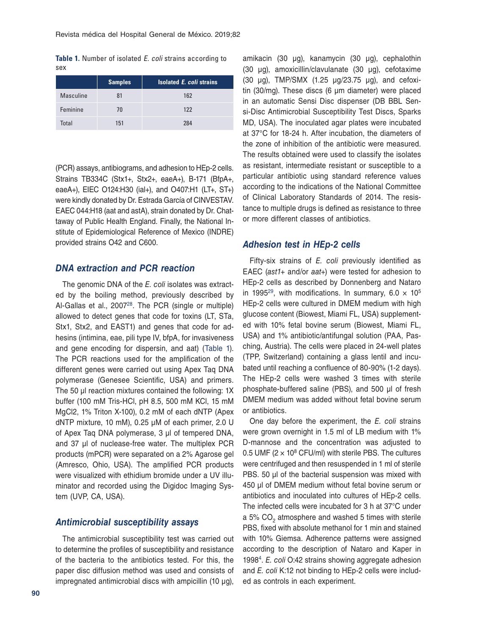<span id="page-3-0"></span>**Table 1.** Number of isolated E. coli strains according to sex

|           | <b>Samples</b> | <b>Isolated E. coli strains</b> |
|-----------|----------------|---------------------------------|
| Masculine | 81             | 162                             |
| Feminine  | 70             | 122                             |
| Total     | 151            | 284                             |

(PCR) assays, antibiograms, and adhesion to HEp-2 cells. Strains TB334C (Stx1+, Stx2+, eaeA+), B-171 (BfpA+, eaeA+), EIEC O124:H30 (ial+), and O407:H1 (LT+, ST+) were kindly donated by Dr. Estrada García of CINVESTAV. EAEC 044:H18 (aat and astA), strain donated by Dr. Chattaway of Public Health England. Finally, the National Institute of Epidemiological Reference of Mexico (INDRE) provided strains O42 and C600.

#### *DNA extraction and PCR reaction*

The genomic DNA of the *E. coli* isolates was extracted by the boiling method, previously described by Al-Gallas et al., 2007<sup>28</sup>. The PCR (single or multiple) allowed to detect genes that code for toxins (LT, STa, Stx1, Stx2, and EAST1) and genes that code for adhesins (intimina, eae, pili type IV, bfpA, for invasiveness and gene encoding for dispersin, and aat) (Table 1). The PCR reactions used for the amplification of the different genes were carried out using Apex Taq DNA polymerase (Genesee Scientific, USA) and primers. The 50 μl reaction mixtures contained the following: 1X buffer (100 mM Tris-HCl, pH 8.5, 500 mM KCl, 15 mM MgCl2, 1% Triton X-100), 0.2 mM of each dNTP (Apex dNTP mixture, 10 mM), 0.25 μM of each primer, 2.0 U of Apex Taq DNA polymerase, 3 μl of tempered DNA, and 37 μl of nuclease-free water. The multiplex PCR products (mPCR) were separated on a 2% Agarose gel (Amresco, Ohio, USA). The amplified PCR products were visualized with ethidium bromide under a UV illuminator and recorded using the Digidoc Imaging System (UVP, CA, USA).

## *Antimicrobial susceptibility assays*

The antimicrobial susceptibility test was carried out to determine the profiles of susceptibility and resistance of the bacteria to the antibiotics tested. For this, the paper disc diffusion method was used and consists of impregnated antimicrobial discs with ampicillin (10  $\mu$ g),

amikacin (30 μg), kanamycin (30 μg), cephalothin (30 μg), amoxicillin/clavulanate (30 μg), cefotaxime (30 μg), TMP/SMX (1.25 µg/23.75 μg), and cefoxitin (30/mg). These discs (6 μm diameter) were placed in an automatic Sensi Disc dispenser (DB BBL Sensi-Disc Antimicrobial Susceptibility Test Discs, Sparks MD, USA). The inoculated agar plates were incubated at 37°C for 18-24 h. After incubation, the diameters of the zone of inhibition of the antibiotic were measured. The results obtained were used to classify the isolates as resistant, intermediate resistant or susceptible to a particular antibiotic using standard reference values according to the indications of the National Committee of Clinical Laboratory Standards of 2014. The resistance to multiple drugs is defined as resistance to three or more different classes of antibiotics.

#### *Adhesion test in HEp-2 cells*

Fifty-six strains of *E. coli* previously identified as EAEC (*ast1*+ and/or *aat*+) were tested for adhesion to HEp-2 cells as described by Donnenberg and Nataro in 1995<sup>29</sup>, with modifications. In summary,  $6.0 \times 10^5$ HEp-2 cells were cultured in DMEM medium with high glucose content (Biowest, Miami FL, USA) supplemented with 10% fetal bovine serum (Biowest, Miami FL, USA) and 1% antibiotic/antifungal solution (PAA, Pasching, Austria). The cells were placed in 24-well plates (TPP, Switzerland) containing a glass lentil and incubated until reaching a confluence of 80-90% (1-2 days). The HEp-2 cells were washed 3 times with sterile phosphate-buffered saline (PBS), and 500 μl of fresh DMEM medium was added without fetal bovine serum or antibiotics.

One day before the experiment, the *E. coli* strains were grown overnight in 1.5 ml of LB medium with 1% D-mannose and the concentration was adjusted to 0.5 UMF ( $2 \times 10^8$  CFU/ml) with sterile PBS. The cultures were centrifuged and then resuspended in 1 ml of sterile PBS. 50 μl of the bacterial suspension was mixed with 450 μl of DMEM medium without fetal bovine serum or antibiotics and inoculated into cultures of HEp-2 cells. The infected cells were incubated for 3 h at 37°C under a 5% CO<sub>2</sub> atmosphere and washed 5 times with sterile PBS, fixed with absolute methanol for 1 min and stained with 10% Giemsa. Adherence patterns were assigned according to the description of Nataro and Kaper in 199[84.](#page-9-3) *E. coli* O:42 strains showing aggregate adhesion and *E. coli* K:12 not binding to HEp-2 cells were included as controls in each experiment.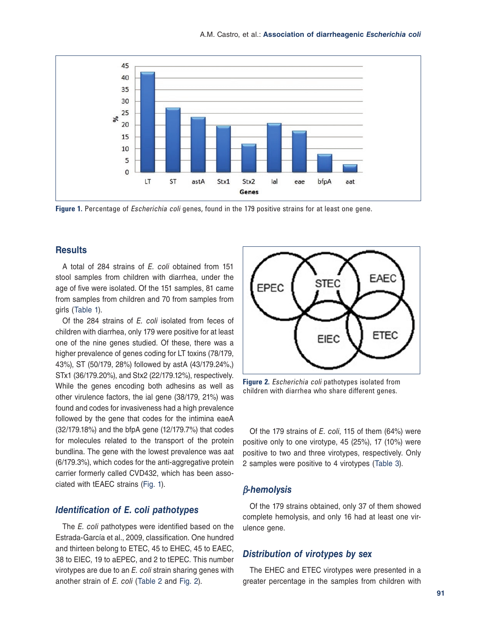

**Figure 1.** Percentage of Escherichia coli genes, found in the 179 positive strains for at least one gene.

#### **Results**

A total of 284 strains of *E. coli* obtained from 151 stool samples from children with diarrhea, under the age of five were isolated. Of the 151 samples, 81 came from samples from children and 70 from samples from girls ([Table 1](#page-3-0)).

Of the 284 strains of *E. coli* isolated from feces of children with diarrhea, only 179 were positive for at least one of the nine genes studied. Of these, there was a higher prevalence of genes coding for LT toxins (78/179, 43%), ST (50/179, 28%) followed by astA (43/179.24%,) STx1 (36/179.20%), and Stx2 (22/179.12%), respectively. While the genes encoding both adhesins as well as other virulence factors, the ial gene (38/179, 21%) was found and codes for invasiveness had a high prevalence followed by the gene that codes for the intimina eaeA (32/179.18%) and the bfpA gene (12/179.7%) that codes for molecules related to the transport of the protein bundlina. The gene with the lowest prevalence was aat (6/179.3%), which codes for the anti-aggregative protein carrier formerly called CVD432, which has been associated with tEAEC strains (Fig. 1).

## *Identification of E. coli pathotypes*

The *E. coli* pathotypes were identified based on the Estrada-García et al., 2009, classification. One hundred and thirteen belong to ETEC, 45 to EHEC, 45 to EAEC, 38 to EIEC, 19 to aEPEC, and 2 to tEPEC. This number virotypes are due to an *E. coli* strain sharing genes with another strain of *E. coli* ([Table 2](#page-5-0) and Fig. 2).



**Figure 2.** Escherichia coli pathotypes isolated from children with diarrhea who share different genes.

Of the 179 strains of *E. coli*, 115 of them (64%) were positive only to one virotype, 45 (25%), 17 (10%) were positive to two and three virotypes, respectively. Only 2 samples were positive to 4 virotypes ([Table 3](#page-5-0)).

## β*-hemolysis*

Of the 179 strains obtained, only 37 of them showed complete hemolysis, and only 16 had at least one virulence gene.

# *Distribution of virotypes by sex*

The EHEC and ETEC virotypes were presented in a greater percentage in the samples from children with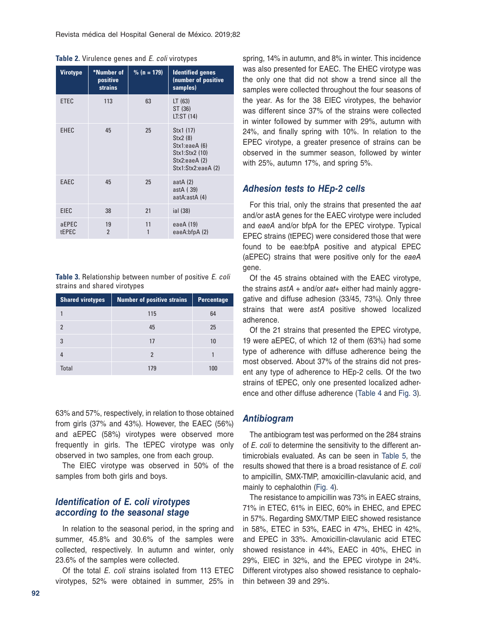| <b>Virotype</b> | *Number of<br>positive<br><b>strains</b> | $\frac{9}{6}$ (n = 179) | <b>Identified genes</b><br>(number of positive<br>samples)                                     |
|-----------------|------------------------------------------|-------------------------|------------------------------------------------------------------------------------------------|
| <b>ETEC</b>     | 113                                      | 63                      | LT(63)<br>ST (36)<br>LT:ST (14)                                                                |
| <b>EHEC</b>     | 45                                       | 25                      | Stx1 (17)<br>Stx2 (8)<br>Stx1:eaeA (6)<br>Stx1:Stx2 (10)<br>Stx2:eaeA(2)<br>Stx1:Stx2:eaeA (2) |
| EAEC            | 45                                       | 25                      | aat $A(2)$<br>astA (39)<br>aatA:astA (4)                                                       |
| <b>EIEC</b>     | 38                                       | 21                      | ial (38)                                                                                       |
| aEPEC<br>tEPEC  | 19<br>$\overline{2}$                     | 11<br>1                 | eaeA (19)<br>eaeA:bfpA(2)                                                                      |

<span id="page-5-0"></span>

|  | Table 2. Virulence genes and E. coli virotypes |  |  |  |  |  |  |
|--|------------------------------------------------|--|--|--|--|--|--|
|--|------------------------------------------------|--|--|--|--|--|--|

**Table 3.** Relationship between number of positive E. coli strains and shared virotypes

| <b>Shared virotypes</b> | <b>Number of positive strains</b> | <b>Percentage</b> |
|-------------------------|-----------------------------------|-------------------|
|                         | 115                               | 64                |
| $\mathfrak{p}$          | 45                                | 25                |
| 3                       | 17                                | 10                |
|                         | 2                                 |                   |
| <b>Total</b>            | 179                               | 100               |

63% and 57%, respectively, in relation to those obtained from girls (37% and 43%). However, the EAEC (56%) and aEPEC (58%) virotypes were observed more frequently in girls. The tEPEC virotype was only observed in two samples, one from each group.

The EIEC virotype was observed in 50% of the samples from both girls and boys.

## *Identification of E. coli virotypes according to the seasonal stage*

In relation to the seasonal period, in the spring and summer, 45.8% and 30.6% of the samples were collected, respectively. In autumn and winter, only 23.6% of the samples were collected.

Of the total *E. coli* strains isolated from 113 ETEC virotypes, 52% were obtained in summer, 25% in

spring, 14% in autumn, and 8% in winter. This incidence was also presented for EAEC. The EHEC virotype was the only one that did not show a trend since all the samples were collected throughout the four seasons of the year. As for the 38 EIEC virotypes, the behavior was different since 37% of the strains were collected in winter followed by summer with 29%, autumn with 24%, and finally spring with 10%. In relation to the EPEC virotype, a greater presence of strains can be observed in the summer season, followed by winter with 25%, autumn 17%, and spring 5%.

## *Adhesion tests to HEp-2 cells*

For this trial, only the strains that presented the *aat*  and/or astA genes for the EAEC virotype were included and *eaeA* and/or bfpA for the EPEC virotype. Typical EPEC strains (tEPEC) were considered those that were found to be eae:bfpA positive and atypical EPEC (aEPEC) strains that were positive only for the *eaeA*  gene.

Of the 45 strains obtained with the EAEC virotype, the strains *astA* + and/or *aat*+ either had mainly aggregative and diffuse adhesion (33/45, 73%). Only three strains that were *astA* positive showed localized adherence.

Of the 21 strains that presented the EPEC virotype, 19 were aEPEC, of which 12 of them (63%) had some type of adherence with diffuse adherence being the most observed. About 37% of the strains did not present any type of adherence to HEp-2 cells. Of the two strains of tEPEC, only one presented localized adherence and other diffuse adherence ([Table 4](#page-6-0) and [Fig. 3\)](#page-7-0).

#### *Antibiogram*

The antibiogram test was performed on the 284 strains of *E. coli* to determine the sensitivity to the different antimicrobials evaluated. As can be seen in [Table 5](#page-6-0), the results showed that there is a broad resistance of *E. coli* to ampicillin, SMX-TMP, amoxicillin-clavulanic acid, and mainly to cephalothin ([Fig. 4](#page-7-0)).

The resistance to ampicillin was 73% in EAEC strains, 71% in ETEC, 61% in EIEC, 60% in EHEC, and EPEC in 57%. Regarding SMX/TMP EIEC showed resistance in 58%, ETEC in 53%, EAEC in 47%, EHEC in 42%, and EPEC in 33%. Amoxicillin-clavulanic acid ETEC showed resistance in 44%, EAEC in 40%, EHEC in 29%, EIEC in 32%, and the EPEC virotype in 24%. Different virotypes also showed resistance to cephalothin between 39 and 29%.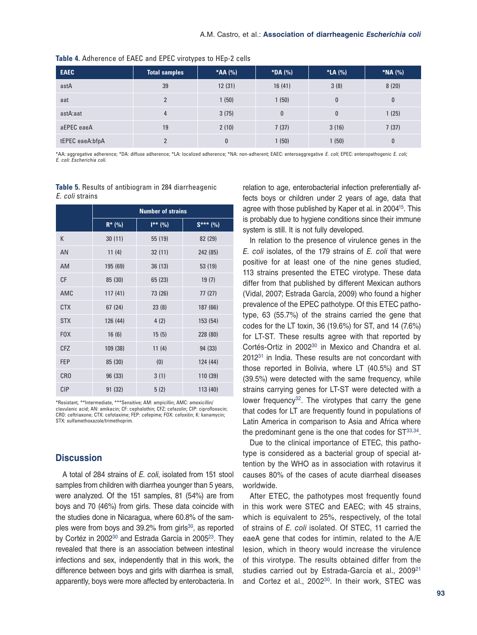| <b>EAEC</b>     | <b>Total samples</b> | *AA (%) | *DA (%)  | *LA (%) | *NA (%) |
|-----------------|----------------------|---------|----------|---------|---------|
| astA            | 39                   | 12(31)  | 16(41)   | 3(8)    | 8(20)   |
| aat             | $\overline{2}$       | 1(50)   | 1(50)    | 0       | 0       |
| astA:aat        | 4                    | 3(75)   | $\bf{0}$ | 0       | 1(25)   |
| aEPEC eaeA      | 19                   | 2(10)   | 7(37)    | 3(16)   | 7(37)   |
| tEPEC eaeA:bfpA | $\overline{2}$       | 0       | 1(50)    | 1 (50)  | 0       |

<span id="page-6-0"></span>Table 4. Adherence of EAEC and EPEC virotypes to HEp-2 cells

\*AA: aggregative adherence; \*DA: diffuse adherence; \*LA: localized adherence; \*NA: non‑adherent; EAEC: enteroaggregative E. coli; EPEC: enteropathogenic E. coli; E. coli: Escherichia coli.

#### **Table 5.** Results of antibiogram in 284 diarrheagenic E. coli strains

|                 | <b>Number of strains</b> |              |            |  |  |
|-----------------|--------------------------|--------------|------------|--|--|
|                 | $R^*$ (%)                | $I^{**}$ (%) | $S***$ (%) |  |  |
| К               | 30(11)                   | 55 (19)      | 82 (29)    |  |  |
| AN              | 11(4)                    | 32(11)       | 242 (85)   |  |  |
| <b>AM</b>       | 195 (69)                 | 36(13)       | 53 (19)    |  |  |
| CF              | 85 (30)                  | 65 (23)      | 19(7)      |  |  |
| AMC             | 117(41)                  | 73 (26)      | 77 (27)    |  |  |
| <b>CTX</b>      | 67(24)                   | 23(8)        | 187(66)    |  |  |
| <b>STX</b>      | 126 (44)                 | 4(2)         | 153 (54)   |  |  |
| <b>FOX</b>      | 16(6)                    | 15(5)        | 228 (80)   |  |  |
| <b>CFZ</b>      | 109 (38)                 | 11(4)        | 94 (33)    |  |  |
| <b>FEP</b>      | 85 (30)                  | (0)          | 124 (44)   |  |  |
| CR <sub>0</sub> | 96 (33)                  | 3(1)         | 110 (39)   |  |  |
| <b>CIP</b>      | 91 (32)                  | 5(2)         | 113 (40)   |  |  |

\*Resistant, \*\*Intermediate, \*\*\*Sensitive; AM: ampicillin; AMC: amoxicillin/ clavulanic acid; AN: amikacin; CF: cephalothin; CFZ: cefazolin; CIP: ciprofloxacin; CRO: ceftriaxone; CTX: cefotaxime; FEP: cefepime; FOX: cefoxitin; K: kanamycin; STX: sulfamethoxazole/trimethoprim.

## **Discussion**

A total of 284 strains of *E. coli*, isolated from 151 stool samples from children with diarrhea younger than 5 years, were analyzed. Of the 151 samples, 81 (54%) are from boys and 70 (46%) from girls. These data coincide with the studies done in Nicaragua, where 60.8% of the samples were from boys and 39.2% from girls<sup>30</sup>, as reported by Cortéz in 2002<sup>30</sup> and Estrada García in 2005<sup>23</sup>. They revealed that there is an association between intestinal infections and sex, independently that in this work, the difference between boys and girls with diarrhea is small, apparently, boys were more affected by enterobacteria. In

relation to age, enterobacterial infection preferentially affects boys or children under 2 years of age, data that agree with those published by Kaper et al. in 2004<sup>15</sup>. This is probably due to hygiene conditions since their immune system is still. It is not fully developed.

In relation to the presence of virulence genes in the *E. coli* isolates, of the 179 strains of *E. coli* that were positive for at least one of the nine genes studied, 113 strains presented the ETEC virotype. These data differ from that published by different Mexican authors (Vidal, 2007; Estrada García, 2009) who found a higher prevalence of the EPEC pathotype. Of this ETEC pathotype, 63 (55.7%) of the strains carried the gene that codes for the LT toxin, 36 (19.6%) for ST, and 14 (7.6%) for LT-ST. These results agree with that reported by Cortés-Ortiz in 2002<sup>30</sup> in Mexico and Chandra et al. 2012[31](#page-10-5) in India. These results are not concordant with those reported in Bolivia, where LT (40.5%) and ST (39.5%) were detected with the same frequency, while strains carrying genes for LT-ST were detected with a lower frequency $32$ . The virotypes that carry the gene that codes for LT are frequently found in populations of Latin America in comparison to Asia and Africa where the predominant gene is the one that codes for  $ST^{33,34}$  $ST^{33,34}$  $ST^{33,34}$  $ST^{33,34}$  $ST^{33,34}$ .

Due to the clinical importance of ETEC, this pathotype is considered as a bacterial group of special attention by the WHO as in association with rotavirus it causes 80% of the cases of acute diarrheal diseases worldwide.

After ETEC, the pathotypes most frequently found in this work were STEC and EAEC; with 45 strains, which is equivalent to 25%, respectively, of the total of strains of *E. coli* isolated. Of STEC, 11 carried the eaeA gene that codes for intimin, related to the A/E lesion, which in theory would increase the virulence of this virotype. The results obtained differ from the studies carried out by Estrada-García et al., 2009<sup>[21](#page-9-17)</sup> and Cortez et al., 2002<sup>[30](#page-10-4)</sup>. In their work, STEC was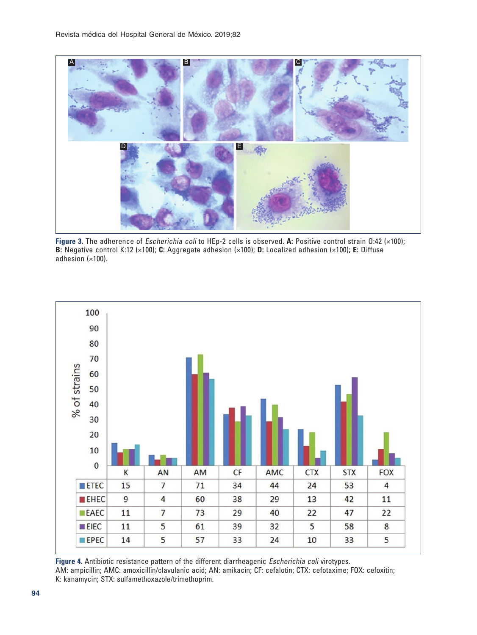<span id="page-7-0"></span>

**Figure 3.** The adherence of Escherichia coli to HEp-2 cells is observed. **A:** Positive control strain O:42 (×100); **B:** Negative control K:12 (×100); **C:** Aggregate adhesion (×100); **D:** Localized adhesion (×100)**; E:** Diffuse adhesion (×100).



<span id="page-7-1"></span>**[Figure 4.](#page-7-1)** Antibiotic resistance pattern of the different diarrheagenic Escherichia coli virotypes. AM: ampicillin; AMC: amoxicillin/clavulanic acid; AN: amikacin; CF: cefalotin; CTX: cefotaxime; FOX: cefoxitin; K: kanamycin; STX: sulfamethoxazole/trimethoprim.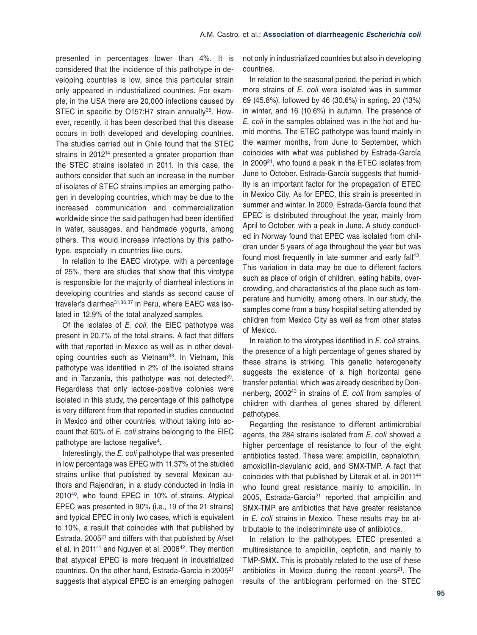presented in percentages lower than 4%. It is considered that the incidence of this pathotype in developing countries is low, since this particular strain only appeared in industrialized countries. For example, in the USA there are 20,000 infections caused by STEC in specific by O157:H7 strain annually<sup>[35](#page-10-9)</sup>. However, recently, it has been described that this disease occurs in both developed and developing countries. The studies carried out in Chile found that the STEC strains in 2012<sup>14</sup> presented a greater proportion than the STEC strains isolated in 2011. In this case, the authors consider that such an increase in the number of isolates of STEC strains implies an emerging pathogen in developing countries, which may be due to the increased communication and commercialization worldwide since the said pathogen had been identified in water, sausages, and handmade yogurts, among others. This would increase infections by this pathotype, especially in countries like ours.

In relation to the EAEC virotype, with a percentage of 25%, there are studies that show that this virotype is responsible for the majority of diarrheal infections in developing countries and stands as second cause of traveler's diarrhea31,36,37 in Peru, where EAEC was isolated in 12.9% of the total analyzed samples.

Of the isolates of *E. coli*, the EIEC pathotype was present in 20.7% of the total strains. A fact that differs with that reported in Mexico as well as in other developing countries such as Vietnam<sup>38</sup>. In Vietnam, this pathotype was identified in 2% of the isolated strains and in Tanzania, this pathotype was not detected<sup>39</sup>. Regardless that only lactose-positive colonies were isolated in this study, the percentage of this pathotype is very different from that reported in studies conducted in Mexico and other countries, without taking into account that 60% of *E. coli* strains belonging to the EIEC pathotype are lactose negative<sup>[4](#page-9-3)</sup>.

Interestingly, the *E. coli* pathotype that was presented in low percentage was EPEC with 11.37% of the studied strains unlike that published by several Mexican authors and Rajendran, in a study conducted in India in 2010[40](#page-10-10), who found EPEC in 10% of strains. Atypical EPEC was presented in 90% (i.e., 19 of the 21 strains) and typical EPEC in only two cases, which is equivalent to 10%, a result that coincides with that published by Estrada,  $2005<sup>21</sup>$  and differs with that published by Afset et al. in 2011<sup>41</sup> and Nguyen et al. 2006<sup>[42](#page-10-12)</sup>. They mention that atypical EPEC is more frequent in industrialized countries. On the other hand, Estrada-Garcia in 200[521](#page-9-17) suggests that atypical EPEC is an emerging pathogen

not only in industrialized countries but also in developing countries.

In relation to the seasonal period, the period in which more strains of *E. coli* were isolated was in summer 69 (45.8%), followed by 46 (30.6%) in spring, 20 (13%) in winter, and 16 (10.6%) in autumn. The presence of *E. coli* in the samples obtained was in the hot and humid months. The ETEC pathotype was found mainly in the warmer months, from June to September, which coincides with what was published by Estrada-García in 2009[21](#page-9-17), who found a peak in the ETEC isolates from June to October. Estrada-García suggests that humidity is an important factor for the propagation of ETEC in Mexico City. As for EPEC, this strain is presented in summer and winter. In 2009, Estrada-García found that EPEC is distributed throughout the year, mainly from April to October, with a peak in June. A study conducted in Norway found that EPEC was isolated from children under 5 years of age throughout the year but was found most frequently in late summer and early fall<sup>43</sup>. This variation in data may be due to different factors such as place of origin of children, eating habits, overcrowding, and characteristics of the place such as temperature and humidity, among others. In our study, the samples come from a busy hospital setting attended by children from Mexico City as well as from other states of Mexico.

In relation to the virotypes identified in *E. coli* strains, the presence of a high percentage of genes shared by these strains is striking. This genetic heterogeneity suggests the existence of a high horizontal gene transfer potential, which was already described by Donnenberg, 2002[4](#page-10-13)3 in strains of *E. coli* from samples of children with diarrhea of genes shared by different pathotypes.

Regarding the resistance to different antimicrobial agents, the 284 strains isolated from *E. coli* showed a higher percentage of resistance to four of the eight antibiotics tested. These were: ampicillin, cephalothin, amoxicillin-clavulanic acid, and SMX-TMP. A fact that coincides with that published by Literak et al. in 201[144](#page-10-14) who found great resistance mainly to ampicillin. In 2005, Estrada-Garcia<sup>21</sup> reported that ampicillin and SMX-TMP are antibiotics that have greater resistance in *E. coli* strains in Mexico. These results may be attributable to the indiscriminate use of antibiotics.

In relation to the pathotypes, ETEC presented a multiresistance to ampicillin, cepflotin, and mainly to TMP-SMX. This is probably related to the use of these antibiotics in Mexico during the recent years<sup>21</sup>. The results of the antibiogram performed on the STEC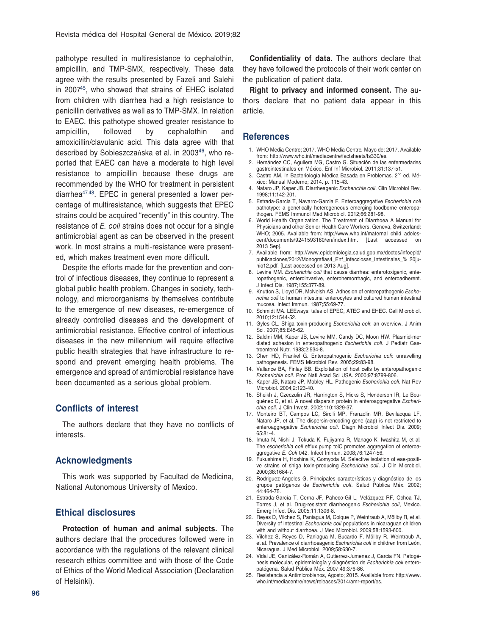<span id="page-9-8"></span>pathotype resulted in multiresistance to cephalothin, ampicillin, and TMP-SMX, respectively. These data agree with the results presented by Fazeli and Salehi in 200[745](#page-10-15), who showed that strains of EHEC isolated from children with diarrhea had a high resistance to penicillin derivatives as well as to TMP-SMX. In relation to EAEC, this pathotype showed greater resistance to ampicillin, followed by cephalothin and amoxicillin/clavulanic acid. This data agree with that described by Sobieszczańska et al. in 2003<sup>46</sup>, who reported that EAEC can have a moderate to high level resistance to ampicillin because these drugs are recommended by the WHO for treatment in persistent diarrhea47,48. EPEC in general presented a lower percentage of multiresistance, which suggests that EPEC strains could be acquired "recently" in this country. The resistance of *E. coli* strains does not occur for a single antimicrobial agent as can be observed in the present work. In most strains a multi-resistance were presented, which makes treatment even more difficult.

Despite the efforts made for the prevention and control of infectious diseases, they continue to represent a global public health problem. Changes in society, technology, and microorganisms by themselves contribute to the emergence of new diseases, re-emergence of already controlled diseases and the development of antimicrobial resistance. Effective control of infectious diseases in the new millennium will require effective public health strategies that have infrastructure to respond and prevent emerging health problems. The emergence and spread of antimicrobial resistance have been documented as a serious global problem.

#### **Conflicts of interest**

The authors declare that they have no conflicts of interests.

## **Acknowledgments**

This work was supported by Facultad de Medicina, National Autonomous University of Mexico.

## **Ethical disclosures**

**Protection of human and animal subjects.** The authors declare that the procedures followed were in accordance with the regulations of the relevant clinical research ethics committee and with those of the Code of Ethics of the World Medical Association (Declaration of Helsinki).

**Confidentiality of data.** The authors declare that they have followed the protocols of their work center on the publication of patient data.

**Right to privacy and informed consent.** The authors declare that no patient data appear in this article.

#### **References**

- <span id="page-9-0"></span>1. WHO Media Centre; 2017. WHO Media Centre*.* Mayo de; 2017. Available from: http://www.who.int/mediacentre/factsheets/fs330/es.
- <span id="page-9-1"></span>2. Hernández CC, Aguilera MG, Castro G. Situación de las enfermedades gastrointestinales en México. Enf Inf Microbiol*.* 2011;31:137-51.
- <span id="page-9-2"></span>3. Castro AM. In Bacteriología Médica Basada en Problemas. 2<sup>nd</sup> ed. México: Manual Moderno; 2014. p. 115-43.
- <span id="page-9-3"></span>4. Nataro JP, Kaper JB. Diarrheagenic *Escherichia coli*. Clin Microbiol Rev. 1998;11:142-201.
- <span id="page-9-4"></span>5. Estrada-Garcia T, Navarro-Garcia F. Enteroaggregative *Escherichia coli* pathotype: a genetically heterogeneous emerging foodborne enteropathogen. FEMS Immunol Med Microbiol. 2012;66:281-98.
- <span id="page-9-5"></span>6. World Health Organization. The Treatment of Diarrhoea A Manual for Physicians and other Senior Health Care Workers. Geneva, Switzerland: WHO; 2005. Available from: http://www.who.int/maternal\_child\_adolescent/documents/9241593180/en/index.htm. [Last accessed on 2013 Sep].
- 7. Available from: http://www.epidemiologia.salud.gob.mx/doctos/infoepid/ publicaciones/2012/Monografias4\_Enf\_Infecciosas\_Intestinales\_% 20junio12.pdf. [Last accessed on 2013 Aug].
- <span id="page-9-6"></span>8. Levine MM. *Escherichia coli* that cause diarrhea: enterotoxigenic, enteropathogenic, enteroinvasive, enterohemorrhagic, and enteroadherent. J Infect Dis. 1987;155:377-89.
- <span id="page-9-7"></span>9. Knutton S, Lloyd DR, McNeish AS. Adhesion of enteropathogenic *Escherichia coli* to human intestinal enterocytes and cultured human intestinal mucosa. Infect Immun. 1987;55:69-77.
- 10. Schmidt MA. LEEways: tales of EPEC, ATEC and EHEC. Cell Microbiol. 2010;12:1544-52.
- 11. Gyles CL. Shiga toxin-producing *Escherichia coli*: an overview. J Anim Sci. 2007;85:E45-62.
- <span id="page-9-9"></span>12. Baldini MM, Kaper JB, Levine MM, Candy DC, Moon HW. Plasmid-mediated adhesion in enteropathogenic *Escherichia coli*. J Pediatr Gastroenterol Nutr. 1983;2:534-8.
- <span id="page-9-10"></span>13. Chen HD, Frankel G. Enteropathogenic *Escherichia coli*: unravelling pathogenesis. FEMS Microbiol Rev. 2005;29:83-98.
- <span id="page-9-11"></span>14. Vallance BA, Finlay BB. Exploitation of host cells by enteropathogenic *Escherichia coli*. Proc Natl Acad Sci USA. 2000;97:8799-806.
- <span id="page-9-15"></span>15. Kaper JB, Nataro JP, Mobley HL. Pathogenic *Escherichia coli*. Nat Rev Microbiol. 2004;2:123-40.
- <span id="page-9-12"></span>16. Sheikh J, Czeczulin JR, Harrington S, Hicks S, Henderson IR, Le Bouguénec C, et al*.* A novel dispersin protein in enteroaggregative *Escherichia coli*. J Clin Invest. 2002;110:1329-37.
- 17. Monteiro BT, Campos LC, Sircili MP, Franzolin MR, Bevilacqua LF, Nataro JP, et al*.* The dispersin-encoding gene (aap) is not restricted to enteroaggregative *Escherichia coli*. Diagn Microbiol Infect Dis. 2009; 65:81-4.
- <span id="page-9-13"></span>18. Imuta N, Nishi J, Tokuda K, Fujiyama R, Manago K, Iwashita M, et al*.* The *escherichia coli* efflux pump tolC promotes aggregation of enteroaggregative *E. Coli* 042. Infect Immun. 2008;76:1247-56.
- <span id="page-9-14"></span>19. Fukushima H, Hoshina K, Gomyoda M. Selective isolation of eae-positive strains of shiga toxin-producing *Escherichia coli*. J Clin Microbiol. 2000;38:1684-7.
- <span id="page-9-16"></span>20. Rodriguez-Angeles G. Principales características y diagnóstico de los grupos patógenos de *Escherichia coli*. Salud Pública Méx. 2002; 44:464-75.
- <span id="page-9-17"></span>21. Estrada-García T, Cerna JF, Paheco-Gil L, Velázquez RF, Ochoa TJ, Torres J, et al*.* Drug-resistant diarrheogenic *Escherichia coli*, Mexico. Emerg Infect Dis. 2005;11:1306-8.
- 22. Reyes D, Vilchez S, Paniagua M, Colque P, Weintraub A, Möllby R, et al*.* Diversity of intestinal *Escherichia coli* populations in nicaraguan children with and without diarrhoea. J Med Microbiol. 2009;58:1593-600.
- <span id="page-9-18"></span>23. Vilchez S, Reyes D, Paniagua M, Bucardo F, Möllby R, Weintraub A, et al*.* Prevalence of diarrhoeagenic *Escherichia coli* in children from León, Nicaragua. J Med Microbiol. 2009;58:630-7.
- <span id="page-9-19"></span>24. Vidal JE, Canizález-Román A, Gutierrez-Jumenez J, Garcia FN. Patogénesis molecular, epidemiología y diagnóstico de *Escherichia coli* enteropatógena. Salud Pública Méx. 2007;49:376-86.
- <span id="page-9-20"></span>25. Resistencia a Antimicrobianos, Agosto; 2015. Available from: http://www. who.int/mediacentre/news/releases/2014/amr-report/es.